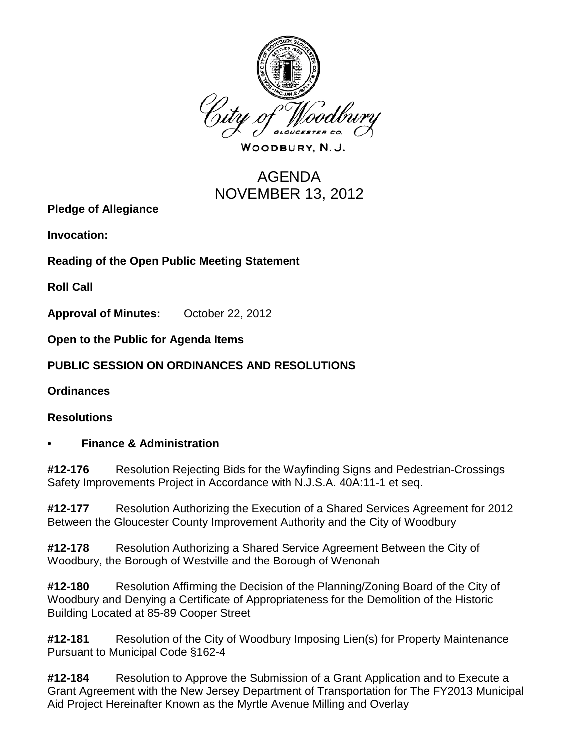

WOODBURY, N.J.

# AGENDA NOVEMBER 13, 2012

**Pledge of Allegiance**

**Invocation:** 

**Reading of the Open Public Meeting Statement**

**Roll Call**

**Approval of Minutes:** October 22, 2012

**Open to the Public for Agenda Items**

**PUBLIC SESSION ON ORDINANCES AND RESOLUTIONS**

**Ordinances**

#### **Resolutions**

#### **• Finance & Administration**

**#12-176** Resolution Rejecting Bids for the Wayfinding Signs and Pedestrian-Crossings Safety Improvements Project in Accordance with N.J.S.A. 40A:11-1 et seq.

**#12-177** Resolution Authorizing the Execution of a Shared Services Agreement for 2012 Between the Gloucester County Improvement Authority and the City of Woodbury

**#12-178** Resolution Authorizing a Shared Service Agreement Between the City of Woodbury, the Borough of Westville and the Borough of Wenonah

**#12-180** Resolution Affirming the Decision of the Planning/Zoning Board of the City of Woodbury and Denying a Certificate of Appropriateness for the Demolition of the Historic Building Located at 85-89 Cooper Street

**#12-181** Resolution of the City of Woodbury Imposing Lien(s) for Property Maintenance Pursuant to Municipal Code §162-4

**#12-184** Resolution to Approve the Submission of a Grant Application and to Execute a Grant Agreement with the New Jersey Department of Transportation for The FY2013 Municipal Aid Project Hereinafter Known as the Myrtle Avenue Milling and Overlay